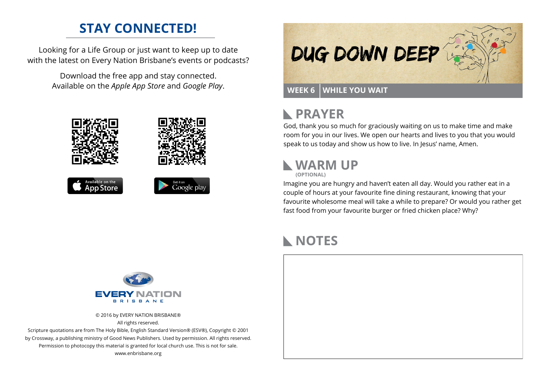### **STAY CONNECTED!**

Looking for a Life Group or just want to keep up to date with the latest on Every Nation Brisbane's events or podcasts?

> Download the free app and stay connected. Available on the *Apple App Store* and *Google Play*.





## **PRAYER**

God, thank you so much for graciously waiting on us to make time and make room for you in our lives. We open our hearts and lives to you that you would speak to us today and show us how to live. In Jesus' name, Amen.

# **WARM UP**

**(OPTIONAL)**

Imagine you are hungry and haven't eaten all day. Would you rather eat in a couple of hours at your favourite fine dining restaurant, knowing that your favourite wholesome meal will take a while to prepare? Or would you rather get fast food from your favourite burger or fried chicken place? Why?

## **NOTES**



© 2016 by EVERY NATION BRISBANE® All rights reserved.

Scripture quotations are from The Holy Bible, English Standard Version® (ESV®), Copyright © 2001 by Crossway, a publishing ministry of Good News Publishers. Used by permission. All rights reserved. Permission to photocopy this material is granted for local church use. This is not for sale. www.enbrisbane.org